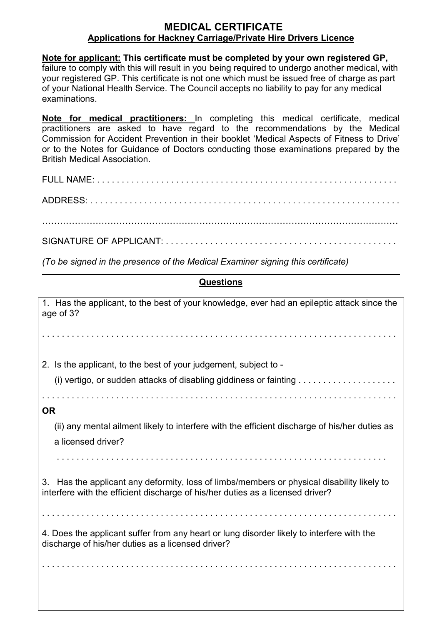## **MEDICAL CERTIFICATE Applications for Hackney Carriage/Private Hire Drivers Licence**

**Note for applicant: This certificate must be completed by your own registered GP,**  failure to comply with this will result in you being required to undergo another medical, with your registered GP. This certificate is not one which must be issued free of charge as part of your National Health Service. The Council accepts no liability to pay for any medical examinations.

**Note for medical practitioners:** In completing this medical certificate, medical practitioners are asked to have regard to the recommendations by the Medical Commission for Accident Prevention in their booklet 'Medical Aspects of Fitness to Drive' or to the Notes for Guidance of Doctors conducting those examinations prepared by the British Medical Association.

…………………………………………………………………………………………………………

SIGNATURE OF APPLICANT: . . . . . . . . . . . . . . . . . . . . . . . . . . . . . . . . . . . . . . . . . . . . . . .

*(To be signed in the presence of the Medical Examiner signing this certificate)*

## **Questions**

1. Has the applicant, to the best of your knowledge, ever had an epileptic attack since the age of 3? . . . . . . . . . . . . . . . . . . . . . . . . . . . . . . . . . . . . . . . . . . . . . . . . . . . . . . . . . . . . . . . . . . . . . . . . 2. Is the applicant, to the best of your judgement, subject to - (i) vertigo, or sudden attacks of disabling giddiness or fainting  $\ldots \ldots \ldots \ldots \ldots \ldots$ . . . . . . . . . . . . . . . . . . . . . . . . . . . . . . . . . . . . . . . . . . . . . . . . . . . . . . . . . . . . . . . . . . . . . . . . **OR**  (ii) any mental ailment likely to interfere with the efficient discharge of his/her duties as a licensed driver? 3. Has the applicant any deformity, loss of limbs/members or physical disability likely to interfere with the efficient discharge of his/her duties as a licensed driver? . . . . . . . . . . . . . . . . . . . . . . . . . . . . . . . . . . . . . . . . . . . . . . . . . . . . . . . . . . . . . . . . . . . . . . . . 4. Does the applicant suffer from any heart or lung disorder likely to interfere with the discharge of his/her duties as a licensed driver? . . . . . . . . . . . . . . . . . . . . . . . . . . . . . . . . . . . . . . . . . . . . . . . . . . . . . . . . . . . . . . . . . . . . . . . .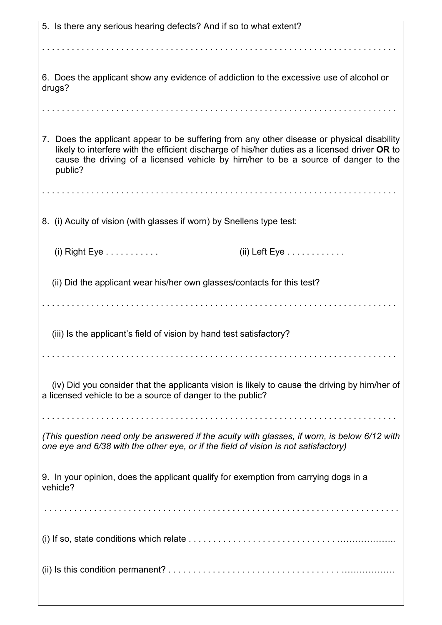| 5. Is there any serious hearing defects? And if so to what extent?                            |
|-----------------------------------------------------------------------------------------------|
|                                                                                               |
|                                                                                               |
|                                                                                               |
| 6. Does the applicant show any evidence of addiction to the excessive use of alcohol or       |
| drugs?                                                                                        |
|                                                                                               |
|                                                                                               |
| 7. Does the applicant appear to be suffering from any other disease or physical disability    |
| likely to interfere with the efficient discharge of his/her duties as a licensed driver OR to |
| cause the driving of a licensed vehicle by him/her to be a source of danger to the            |
| public?                                                                                       |
|                                                                                               |
|                                                                                               |
|                                                                                               |
| 8. (i) Acuity of vision (with glasses if worn) by Snellens type test:                         |
|                                                                                               |
| $(ii)$ Left Eye $\ldots \ldots \ldots$<br>$(i)$ Right Eye $\dots \dots \dots$                 |
|                                                                                               |
| (ii) Did the applicant wear his/her own glasses/contacts for this test?                       |
|                                                                                               |
|                                                                                               |
|                                                                                               |
| (iii) Is the applicant's field of vision by hand test satisfactory?                           |
|                                                                                               |
|                                                                                               |
|                                                                                               |
| (iv) Did you consider that the applicants vision is likely to cause the driving by him/her of |
| a licensed vehicle to be a source of danger to the public?                                    |
|                                                                                               |
|                                                                                               |
| (This question need only be answered if the acuity with glasses, if worn, is below 6/12 with  |
| one eye and 6/38 with the other eye, or if the field of vision is not satisfactory)           |
|                                                                                               |
| 9. In your opinion, does the applicant qualify for exemption from carrying dogs in a          |
| vehicle?                                                                                      |
|                                                                                               |
|                                                                                               |
|                                                                                               |
|                                                                                               |
|                                                                                               |
|                                                                                               |
|                                                                                               |